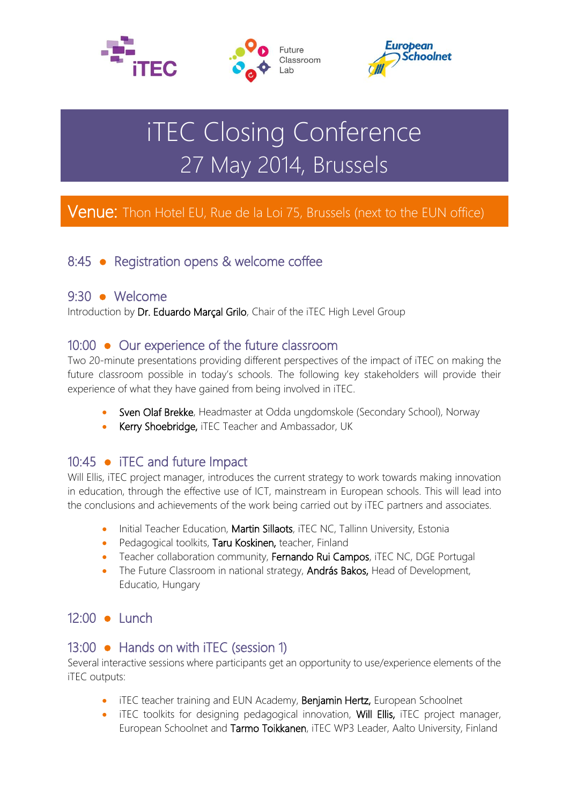





# iTEC Closing Conference 27 May 2014, Brussels

## Venue: Thon Hotel EU, Rue de la Loi 75, Brussels (next to the EUN office)

## 8:45 ● Registration opens & welcome coffee

#### 9:30 ● Welcome

Introduction by Dr. Eduardo Marçal Grilo, Chair of the iTEC High Level Group

#### 10:00 ● Our experience of the future classroom

Two 20-minute presentations providing different perspectives of the impact of iTEC on making the future classroom possible in today's schools. The following key stakeholders will provide their experience of what they have gained from being involved in iTEC.

- Sven Olaf Brekke, Headmaster at Odda ungdomskole (Secondary School), Norway
- Kerry Shoebridge, iTEC Teacher and Ambassador, UK

## 10:45 ● iTEC and future Impact

Will Ellis, iTEC project manager, introduces the current strategy to work towards making innovation in education, through the effective use of ICT, mainstream in European schools. This will lead into the conclusions and achievements of the work being carried out by iTEC partners and associates.

- Initial Teacher Education, Martin Sillaots, iTEC NC, Tallinn University, Estonia
- Pedagogical toolkits, Taru Koskinen, teacher, Finland
- Teacher collaboration community, Fernando Rui Campos, iTEC NC, DGE Portugal
- The Future Classroom in national strategy, **András Bakos,** Head of Development, Educatio, Hungary

## 12:00 ● Lunch

## 13:00 ● Hands on with iTEC (session 1)

Several interactive sessions where participants get an opportunity to use/experience elements of the iTEC outputs:

- iTEC teacher training and EUN Academy, Benjamin Hertz, European Schoolnet
- iTEC toolkits for designing pedagogical innovation, Will Ellis, iTEC project manager, European Schoolnet and Tarmo Toikkanen, iTEC WP3 Leader, Aalto University, Finland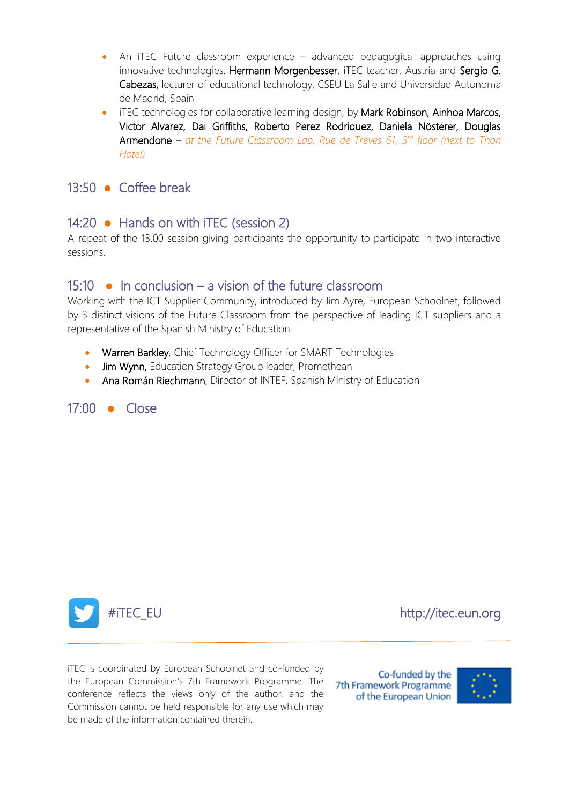- An iTEC Future classroom experience advanced pedagogical approaches using innovative technologies. Hermann Morgenbesser, iTEC teacher, Austria and Sergio G. Cabezas, lecturer of educational technology, CSEU La Salle and Universidad Autonoma de Madrid, Spain
- iTEC technologies for collaborative learning design, by Mark Robinson, Ainhoa Marcos, Victor Alvarez, Dai Griffiths, Roberto Perez Rodriquez, Daniela Nösterer, Douglas Armendone – *at the Future Classroom Lab, Rue de Trèves 61, 3rd floor (next to Thon Hotel)*

#### 13:50 ● Coffee break

#### 14:20 • Hands on with iTEC (session 2)

A repeat of the 13.00 session giving participants the opportunity to participate in two interactive sessions.

#### 15:10  $\bullet$  In conclusion – a vision of the future classroom

Working with the ICT Supplier Community, introduced by Jim Ayre, European Schoolnet, followed by 3 distinct visions of the Future Classroom from the perspective of leading ICT suppliers and a representative of the Spanish Ministry of Education.

- Warren Barkley, Chief Technology Officer for SMART Technologies
- Jim Wynn, Education Strategy Group leader, Promethean
- Ana Román Riechmann, Director of INTEF, Spanish Ministry of Education

#### 17:00 ● Close



 $\overline{a}$ 

#iTEC\_EU http://itec.eun.org

iTEC is coordinated by European Schoolnet and co-funded by the European Commission's 7th Framework Programme. The conference reflects the views only of the author, and the Commission cannot be held responsible for any use which may be made of the information contained therein.

Co-funded by the 7th Framework Programme of the European Union

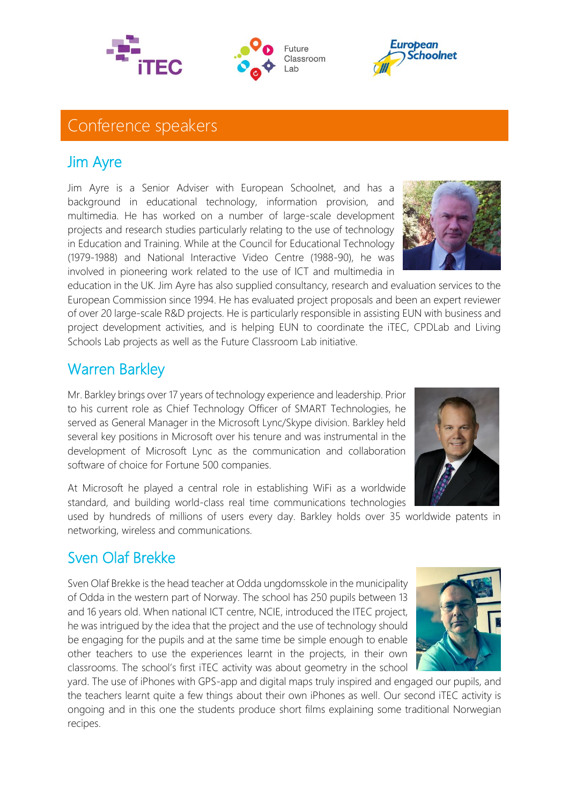# Conference speakers

## Jim Ayre

Jim Ayre is a Senior Adviser with European Schoolnet, and has a background in educational technology, information provision, and multimedia. He has worked on a number of large-scale development projects and research studies particularly relating to the use of technology in Education and Training. While at the Council for Educational Technology (1979-1988) and National Interactive Video Centre (1988-90), he was involved in pioneering work related to the use of ICT and multimedia in

education in the UK. Jim Ayre has also supplied consultancy, research and evaluation services to the European Commission since 1994. He has evaluated project proposals and been an expert reviewer of over 20 large-scale R&D projects. He is particularly responsible in assisting EUN with business and project development activities, and is helping EUN to coordinate the iTEC, CPDLab and Living Schools Lab projects as well as the Future Classroom Lab initiative.

# Warren Barkley

Mr. Barkley brings over 17 years of technology experience and leadership. Prior to his current role as Chief Technology Officer of SMART Technologies, he served as General Manager in the Microsoft Lync/Skype division. Barkley held several key positions in Microsoft over his tenure and was instrumental in the development of Microsoft Lync as the communication and collaboration software of choice for Fortune 500 companies.

At Microsoft he played a central role in establishing WiFi as a worldwide standard, and building world-class real time communications technologies

used by hundreds of millions of users every day. Barkley holds over 35 worldwide patents in networking, wireless and communications.

## Sven Olaf Brekke

Sven Olaf Brekke is the head teacher at Odda ungdomsskole in the municipality of Odda in the western part of Norway. The school has 250 pupils between 13 and 16 years old. When national ICT centre, NCIE, introduced the ITEC project, he was intrigued by the idea that the project and the use of technology should be engaging for the pupils and at the same time be simple enough to enable other teachers to use the experiences learnt in the projects, in their own classrooms. The school's first iTEC activity was about geometry in the school

yard. The use of iPhones with GPS-app and digital maps truly inspired and engaged our pupils, and the teachers learnt quite a few things about their own iPhones as well. Our second iTEC activity is ongoing and in this one the students produce short films explaining some traditional Norwegian recipes.









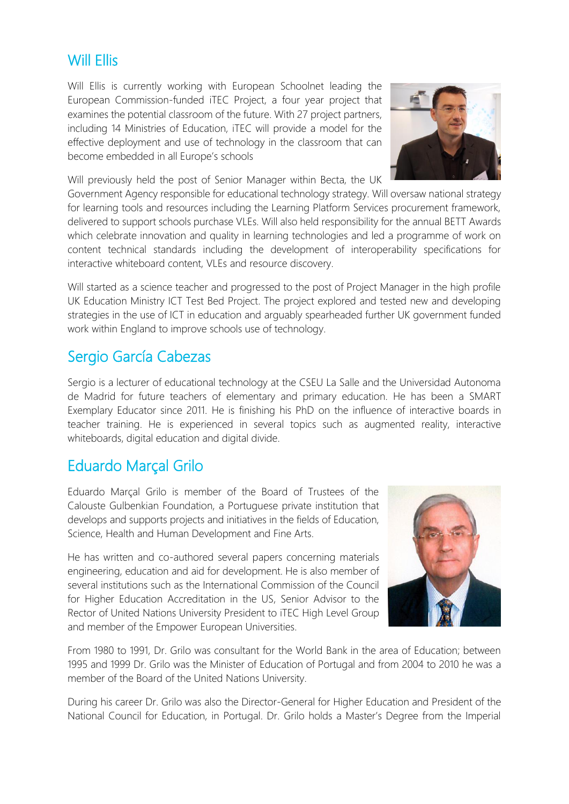## Will Ellis

Will Ellis is currently working with European Schoolnet leading the European Commission-funded iTEC Project, a four year project that examines the potential classroom of the future. With 27 project partners, including 14 Ministries of Education, iTEC will provide a model for the effective deployment and use of technology in the classroom that can become embedded in all Europe's schools

Will previously held the post of Senior Manager within Becta, the UK

Government Agency responsible for educational technology strategy. Will oversaw national strategy for learning tools and resources including the Learning Platform Services procurement framework, delivered to support schools purchase VLEs. Will also held responsibility for the annual BETT Awards which celebrate innovation and quality in learning technologies and led a programme of work on content technical standards including the development of interoperability specifications for interactive whiteboard content, VLEs and resource discovery.

Will started as a science teacher and progressed to the post of Project Manager in the high profile UK Education Ministry ICT Test Bed Project. The project explored and tested new and developing strategies in the use of ICT in education and arguably spearheaded further UK government funded work within England to improve schools use of technology.

## Sergio García Cabezas

Sergio is a lecturer of educational technology at the CSEU La Salle and the Universidad Autonoma de Madrid for future teachers of elementary and primary education. He has been a SMART Exemplary Educator since 2011. He is finishing his PhD on the influence of interactive boards in teacher training. He is experienced in several topics such as augmented reality, interactive whiteboards, digital education and digital divide.

# Eduardo Marçal Grilo

Eduardo Marçal Grilo is member of the Board of Trustees of the Calouste Gulbenkian Foundation, a Portuguese private institution that develops and supports projects and initiatives in the fields of Education, Science, Health and Human Development and Fine Arts.

He has written and co-authored several papers concerning materials engineering, education and aid for development. He is also member of several institutions such as the International Commission of the Council for Higher Education Accreditation in the US, Senior Advisor to the Rector of United Nations University President to iTEC High Level Group and member of the Empower European Universities.



From 1980 to 1991, Dr. Grilo was consultant for the World Bank in the area of Education; between 1995 and 1999 Dr. Grilo was the Minister of Education of Portugal and from 2004 to 2010 he was a member of the Board of the United Nations University.

During his career Dr. Grilo was also the Director-General for Higher Education and President of the National Council for Education, in Portugal. Dr. Grilo holds a Master's Degree from the Imperial

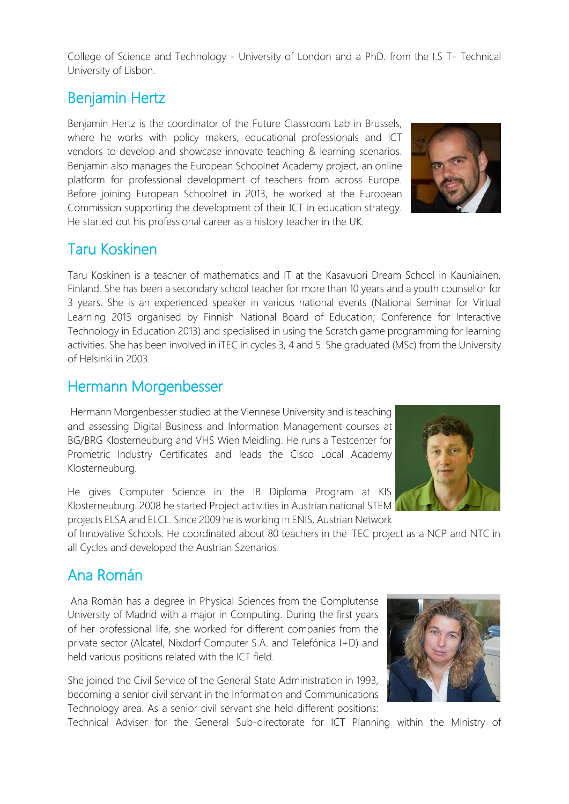College of Science and Technology - University of London and a PhD. from the I.S T- Technical University of Lisbon.

## Benjamin Hertz

Benjamin Hertz is the coordinator of the Future Classroom Lab in Brussels, where he works with policy makers, educational professionals and ICT vendors to develop and showcase innovate teaching & learning scenarios. Benjamin also manages the European Schoolnet Academy project, an online platform for professional development of teachers from across Europe. Before joining European Schoolnet in 2013, he worked at the European Commission supporting the development of their ICT in education strategy. He started out his professional career as a history teacher in the UK.

## Taru Koskinen

Taru Koskinen is a teacher of mathematics and IT at the Kasavuori Dream School in Kauniainen, Finland. She has been a secondary school teacher for more than 10 years and a youth counsellor for 3 years. She is an experienced speaker in various national events (National Seminar for Virtual Learning 2013 organised by Finnish National Board of Education; Conference for Interactive Technology in Education 2013) and specialised in using the Scratch game programming for learning activities. She has been involved in iTEC in cycles 3, 4 and 5. She graduated (MSc) from the University of Helsinki in 2003.

## Hermann Morgenbesser

Hermann Morgenbesser studied at the Viennese University and is teaching and assessing Digital Business and Information Management courses at BG/BRG Klosterneuburg and VHS Wien Meidling. He runs a Testcenter for Prometric Industry Certificates and leads the Cisco Local Academy Klosterneuburg.

He gives Computer Science in the IB Diploma Program at KIS Klosterneuburg. 2008 he started Project activities in Austrian national STEM projects ELSA and ELCL. Since 2009 he is working in ENIS, Austrian Network

of Innovative Schools. He coordinated about 80 teachers in the iTEC project as a NCP and NTC in all Cycles and developed the Austrian Szenarios.

# Ana Román

Ana Román has a degree in Physical Sciences from the Complutense University of Madrid with a major in Computing. During the first years of her professional life, she worked for different companies from the private sector (Alcatel, Nixdorf Computer S.A. and Telefónica I+D) and held various positions related with the ICT field.

She joined the Civil Service of the General State Administration in 1993, becoming a senior civil servant in the Information and Communications Technology area. As a senior civil servant she held different positions:

Technical Adviser for the General Sub-directorate for ICT Planning within the Ministry of